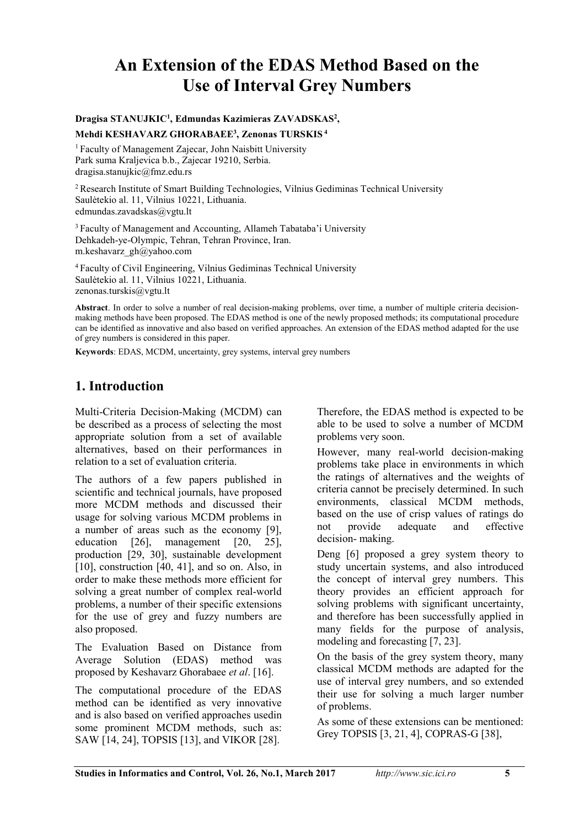# **An Extension of the EDAS Method Based on the Use of Interval Grey Numbers**

#### **Dragisa STANUJKIC1 , Edmundas Kazimieras ZAVADSKAS2 , Mehdi KESHAVARZ GHORABAEE3 , Zenonas TURSKIS <sup>4</sup>**

1 Faculty of Management Zajecar, John Naisbitt University Park suma Kraljevica b.b., Zajecar 19210, Serbia. dragisa.stanujkic@fmz.edu.rs

<sup>2</sup> Research Institute of Smart Building Technologies, Vilnius Gediminas Technical University Saulėtekio al. 11, Vilnius 10221, Lithuania. edmundas.zavadskas@vgtu.lt

<sup>3</sup> Faculty of Management and Accounting, Allameh Tabataba'i University Dehkadeh-ye-Olympic, Tehran, Tehran Province, Iran. m.keshavarz\_gh@yahoo.com

<sup>4</sup> Faculty of Civil Engineering, Vilnius Gediminas Technical University Saulėtekio al. 11, Vilnius 10221, Lithuania. zenonas.turskis@vgtu.lt

**Abstract**. In order to solve a number of real decision-making problems, over time, a number of multiple criteria decisionmaking methods have been proposed. The EDAS method is one of the newly proposed methods; its computational procedure can be identified as innovative and also based on verified approaches. An extension of the EDAS method adapted for the use of grey numbers is considered in this paper.

**Keywords**: EDAS, MCDM, uncertainty, grey systems, interval grey numbers

## **1. Introduction**

Multi-Criteria Decision-Making (MCDM) can be described as a process of selecting the most appropriate solution from a set of available alternatives, based on their performances in relation to a set of evaluation criteria.

The authors of a few papers published in scientific and technical journals, have proposed more MCDM methods and discussed their usage for solving various MCDM problems in a number of areas such as the economy [9], education [26], management [20, 25], production [29, 30], sustainable development  $[10]$ , construction  $[40, 41]$ , and so on. Also, in order to make these methods more efficient for solving a great number of complex real-world problems, a number of their specific extensions for the use of grey and fuzzy numbers are also proposed.

The Evaluation Based on Distance from Average Solution (EDAS) method was proposed by Keshavarz Ghorabaee *et al*. [16].

The computational procedure of the EDAS method can be identified as very innovative and is also based on verified approaches usedin some prominent MCDM methods, such as: SAW [14, 24], TOPSIS [13], and VIKOR [28].

Therefore, the EDAS method is expected to be able to be used to solve a number of MCDM problems very soon.

However, many real-world decision-making problems take place in environments in which the ratings of alternatives and the weights of criteria cannot be precisely determined. In such environments, classical MCDM methods, based on the use of crisp values of ratings do not provide adequate and effective decision- making.

Deng [6] proposed a grey system theory to study uncertain systems, and also introduced the concept of interval grey numbers. This theory provides an efficient approach for solving problems with significant uncertainty, and therefore has been successfully applied in many fields for the purpose of analysis, modeling and forecasting [7, 23].

On the basis of the grey system theory, many classical MCDM methods are adapted for the use of interval grey numbers, and so extended their use for solving a much larger number of problems.

As some of these extensions can be mentioned: Grey TOPSIS [3, 21, 4], COPRAS-G [38],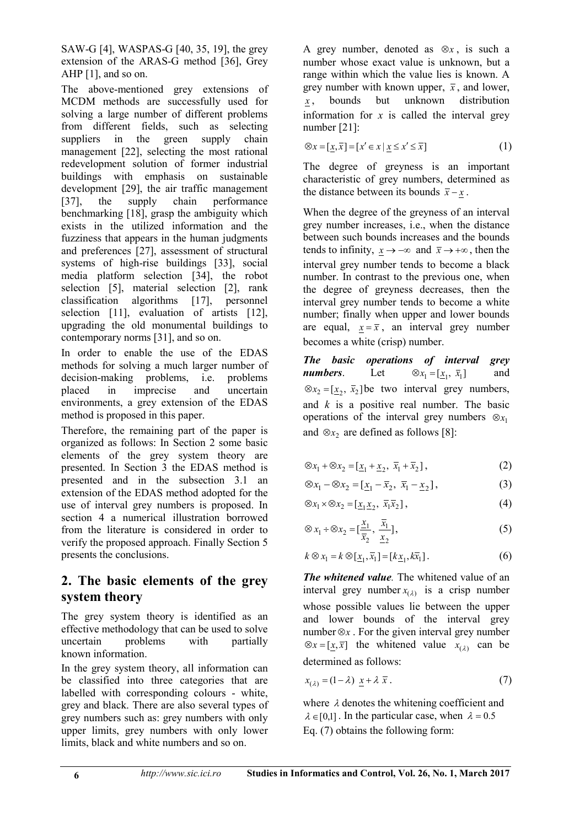SAW-G [4], WASPAS-G [40, 35, 19], the grey extension of the ARAS-G method [36], Grey AHP [1], and so on.

The above-mentioned grey extensions of MCDM methods are successfully used for solving a large number of different problems from different fields, such as selecting<br>suppliers in the green supply chain suppliers in the green supply chain management [22], selecting the most rational redevelopment solution of former industrial buildings with emphasis on sustainable development [29], the air traffic management [37], the supply chain performance benchmarking [18], grasp the ambiguity which exists in the utilized information and the fuzziness that appears in the human judgments and preferences [27], assessment of structural systems of high-rise buildings [33], social media platform selection [34], the robot selection [5], material selection [2], rank classification algorithms [17], personnel selection [11], evaluation of artists [12], upgrading the old monumental buildings to contemporary norms [31], and so on.

In order to enable the use of the EDAS methods for solving a much larger number of decision-making problems, i.e. problems placed in imprecise and uncertain environments, a grey extension of the EDAS method is proposed in this paper.

Therefore, the remaining part of the paper is organized as follows: In Section 2 some basic elements of the grey system theory are presented. In Section 3 the EDAS method is presented and in the subsection 3.1 an extension of the EDAS method adopted for the use of interval grey numbers is proposed. In section 4 a numerical illustration borrowed from the literature is considered in order to verify the proposed approach. Finally Section 5 presents the conclusions.

# **2. The basic elements of the grey system theory**

The grey system theory is identified as an effective methodology that can be used to solve uncertain problems with partially known information.

In the grey system theory, all information can be classified into three categories that are labelled with corresponding colours - white, grey and black. There are also several types of grey numbers such as: grey numbers with only upper limits, grey numbers with only lower limits, black and white numbers and so on.

A grey number, denoted as  $\otimes x$ , is such a number whose exact value is unknown, but a range within which the value lies is known. A grey number with known upper,  $\bar{x}$ , and lower, *x* , bounds but unknown distribution information for  $x$  is called the interval grey number [21]:

⊗*x* =  $[x, \bar{x}]$  =  $[x' \in x \mid x \le x' \le \bar{x}]$  (1)

The degree of greyness is an important characteristic of grey numbers, determined as the distance between its bounds  $\bar{x} - x$ .

When the degree of the greyness of an interval grey number increases, i.e., when the distance between such bounds increases and the bounds tends to infinity,  $x \rightarrow -\infty$  and  $\bar{x} \rightarrow +\infty$ , then the interval grey number tends to become a black number. In contrast to the previous one, when the degree of greyness decreases, then the interval grey number tends to become a white number; finally when upper and lower bounds are equal,  $x = \overline{x}$ , an interval grey number becomes a white (crisp) number.

*The basic operations of interval grey numbers*. Let  $\otimes x_1 = [x_1, \overline{x}_1]$  and  $\otimes x_2 = [x_2, \overline{x}_2]$  be two interval grey numbers, and *k* is a positive real number. The basic operations of the interval grey numbers  $\otimes x_1$ and  $\otimes x_2$  are defined as follows [8]:

$$
\otimes x_1 + \otimes x_2 = \left[ \underline{x}_1 + \underline{x}_2, \ \overline{x}_1 + \overline{x}_2 \right],\tag{2}
$$

$$
\otimes x_1 - \otimes x_2 = [\underline{x}_1 - \overline{x}_2, \ \overline{x}_1 - \underline{x}_2], \tag{3}
$$

$$
\otimes x_1 \times \otimes x_2 = [\underline{x}_1 \underline{x}_2, \ \overline{x}_1 \overline{x}_2], \tag{4}
$$

$$
\otimes x_1 \div \otimes x_2 = \left[\frac{x_1}{\overline{x}_2}, \frac{\overline{x}_1}{\underline{x}_2}\right],\tag{5}
$$

$$
k \otimes x_1 = k \otimes [\underline{x}_1, \overline{x}_1] = [k \underline{x}_1, k \overline{x}_1]. \tag{6}
$$

*The whitened value.* The whitened value of an interval grey number  $x_{(\lambda)}$  is a crisp number whose possible values lie between the upper and lower bounds of the interval grey number  $\otimes x$ . For the given interval grey number ⊗*x* =  $[x, \overline{x}]$  the whitened value  $x_{(λ)}$  can be determined as follows:

$$
x_{(\lambda)} = (1 - \lambda) \underline{x} + \lambda \overline{x} \,. \tag{7}
$$

where  $\lambda$  denotes the whitening coefficient and  $\lambda \in [0,1]$ . In the particular case, when  $\lambda = 0.5$ Eq. (7) obtains the following form: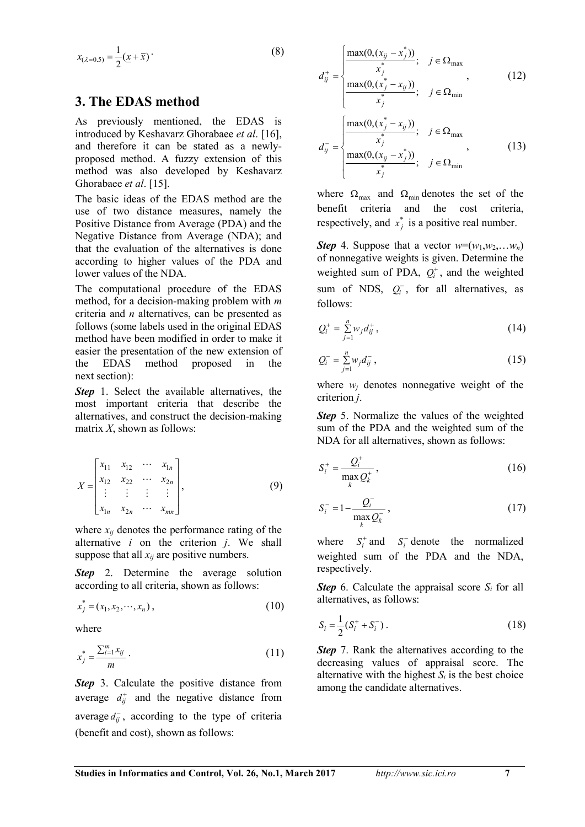$$
x_{(\lambda=0.5)} = \frac{1}{2} (\underline{x} + \overline{x})
$$
 (8)

#### **3. The EDAS method**

As previously mentioned, the EDAS is introduced by Keshavarz Ghorabaee *et al*. [16], and therefore it can be stated as a newlyproposed method. A fuzzy extension of this method was also developed by Keshavarz Ghorabaee *et al*. [15].

The basic ideas of the EDAS method are the use of two distance measures, namely the Positive Distance from Average (PDA) and the Negative Distance from Average (NDA); and that the evaluation of the alternatives is done according to higher values of the PDA and lower values of the NDA.

The computational procedure of the EDAS method, for a decision-making problem with *m* criteria and *n* alternatives, can be presented as follows (some labels used in the original EDAS method have been modified in order to make it easier the presentation of the new extension of the EDAS method proposed in the next section):

**Step** 1. Select the available alternatives, the most important criteria that describe the alternatives, and construct the decision-making matrix *X*, shown as follows:

$$
X = \begin{bmatrix} x_{11} & x_{12} & \cdots & x_{1n} \\ x_{12} & x_{22} & \cdots & x_{2n} \\ \vdots & \vdots & \vdots & \vdots \\ x_{1n} & x_{2n} & \cdots & x_{mn} \end{bmatrix},
$$
 (9)

where  $x_{ij}$  denotes the performance rating of the alternative *i* on the criterion *j*. We shall suppose that all  $x_{ij}$  are positive numbers.

**Step** 2. Determine the average solution according to all criteria, shown as follows:

$$
x_j^* = (x_1, x_2, \cdots, x_n), \tag{10}
$$

where

$$
x_j^* = \frac{\sum_{i=1}^m x_{ij}}{m} \tag{11}
$$

*Step* 3. Calculate the positive distance from average  $d_{ij}^+$  and the negative distance from average  $d_{ij}^-$ , according to the type of criteria (benefit and cost), shown as follows:

$$
d_{ij}^{+} = \begin{cases} \frac{\max(0, (x_{ij} - x_{j}^{*}))}{x_{j}^{*}}; & j \in \Omega_{\max} \\ \frac{\max(0, (x_{j}^{*} - x_{ij}))}{x_{j}^{*}}; & j \in \Omega_{\min} \end{cases}
$$
(12)  

$$
d_{ij}^{-} = \begin{cases} \frac{\max(0, (x_{j}^{*} - x_{ij}))}{x_{j}^{*}}; & j \in \Omega_{\max} \\ \frac{\max(0, (x_{ij} - x_{j}^{*}))}{x_{j}^{*}}; & j \in \Omega_{\min} \end{cases}
$$
(13)

where  $\Omega_{\text{max}}$  and  $\Omega_{\text{min}}$  denotes the set of the benefit criteria and the cost criteria, respectively, and  $x_j^*$  is a positive real number.

*Step* 4. Suppose that a vector  $w=(w_1,w_2,...,w_n)$ of nonnegative weights is given. Determine the weighted sum of PDA,  $Q_i^+$ , and the weighted sum of NDS,  $Q_i^-$ , for all alternatives, as follows:

$$
Q_i^+ = \sum_{j=1}^n w_j d_{ij}^+, \tag{14}
$$

$$
Q_i^- = \sum_{j=1}^n w_j d_{ij}^-, \qquad (15)
$$

where  $w_i$  denotes nonnegative weight of the criterion *j*.

*Step* 5. Normalize the values of the weighted sum of the PDA and the weighted sum of the NDA for all alternatives, shown as follows:

$$
S_i^+ = \frac{Q_i^+}{\max_k Q_k^+},
$$
\n(16)

$$
S_i^- = 1 - \frac{Q_i^-}{\max_k Q_k^-},
$$
\n(17)

where  $S_i^+$  and  $S_i^-$  denote the normalized weighted sum of the PDA and the NDA, respectively.

*Step* 6. Calculate the appraisal score *Si* for all alternatives, as follows:

$$
S_i = \frac{1}{2} (S_i^+ + S_i^-) \,. \tag{18}
$$

*Step* 7. Rank the alternatives according to the decreasing values of appraisal score. The alternative with the highest  $S_i$  is the best choice among the candidate alternatives.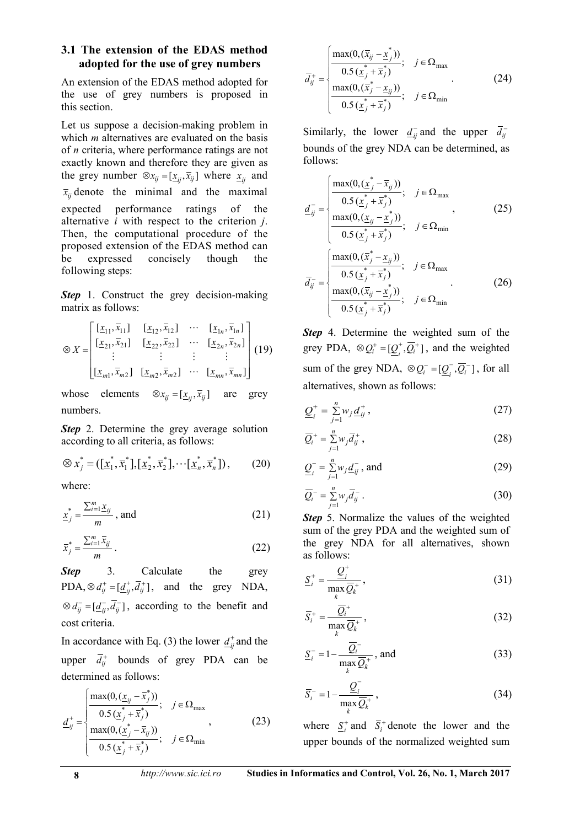#### **3.1 The extension of the EDAS method adopted for the use of grey numbers**

An extension of the EDAS method adopted for the use of grey numbers is proposed in this section.

Let us suppose a decision-making problem in which *m* alternatives are evaluated on the basis of *n* criteria, where performance ratings are not exactly known and therefore they are given as the grey number  $\otimes x_{ij} = [\underline{x}_{ij}, \overline{x}_{ij}]$  where  $\underline{x}_{ij}$  and  $\bar{x}_{ij}$  denote the minimal and the maximal expected performance ratings of the alternative *i* with respect to the criterion *j*. Then, the computational procedure of the proposed extension of the EDAS method can be expressed concisely though the following steps:

**Step** 1. Construct the grey decision-making matrix as follows:

$$
\otimes X = \begin{bmatrix} [\underline{x}_{11}, \overline{x}_{11}] & [\underline{x}_{12}, \overline{x}_{12}] & \cdots & [\underline{x}_{1n}, \overline{x}_{1n}] \\ [\underline{x}_{21}, \overline{x}_{21}] & [\underline{x}_{22}, \overline{x}_{22}] & \cdots & [\underline{x}_{2n}, \overline{x}_{2n}] \\ \vdots & \vdots & \vdots & \vdots \\ [\underline{x}_{m1}, \overline{x}_{m2}] & [\underline{x}_{m2}, \overline{x}_{m2}] & \cdots & [\underline{x}_{mn}, \overline{x}_{mn}] \end{bmatrix} (19)
$$

whose elements  $\otimes x_{ij} = [\underline{x}_{ij}, \overline{x}_{ij}]$  are grey numbers.

*Step* 2. Determine the grey average solution according to all criteria, as follows:

$$
\otimes x_j^* = (\left[\underline{x}_1^*, \overline{x}_1^*\right], \left[\underline{x}_2^*, \overline{x}_2^*\right], \cdots, \left[\underline{x}_n^*, \overline{x}_n^*\right]),\tag{20}
$$

where:

$$
\underline{x}_j^* = \frac{\sum_{i=1}^m \underline{x}_{ij}}{m}, \text{ and} \tag{21}
$$

$$
\overline{x}_j^* = \frac{\sum_{i=1}^m \overline{x}_{ij}}{m} \,. \tag{22}
$$

**Step** 3. Calculate the grey PDA,  $\otimes d_{ij}^+ = [\underline{d}_{ij}^+, \overline{d}_{ij}^+]$ , and the grey NDA,  $\otimes d_{ii}^- = [d_{ii}^-, \overline{d}_{ii}^-]$ , according to the benefit and cost criteria.

In accordance with Eq. (3) the lower  $d_{ij}^{\dagger}$  and the upper  $\overline{d}_{ij}^+$  bounds of grey PDA can be determined as follows:

$$
\underline{d}_{ij}^{+} = \begin{cases}\n\frac{\max(0, (\underline{x}_{ij} - \overline{x}_{j}^{*}))}{0.5(\underline{x}_{j}^{*} + \overline{x}_{j}^{*})}; & j \in \Omega_{\max} \\
\frac{\max(0, (\underline{x}_{j}^{*} - \overline{x}_{ij}))}{0.5(\underline{x}_{j}^{*} + \overline{x}_{j}^{*})}; & j \in \Omega_{\min}\n\end{cases}
$$
\n(23)

$$
\overline{d}_{ij}^{+} = \begin{cases}\n\frac{\max(0, (\overline{x}_{ij} - \underline{x}_{j}^{*}))}{0.5(\underline{x}_{j}^{*} + \overline{x}_{j}^{*})}; & j \in \Omega_{\max} \\
\frac{\max(0, (\overline{x}_{j}^{*} - \underline{x}_{ij}))}{0.5(\underline{x}_{j}^{*} + \overline{x}_{j}^{*})}; & j \in \Omega_{\min}\n\end{cases}
$$
\n(24)

Similarly, the lower  $\underline{d}_{ij}^-$  and the upper  $\overline{d}_{ij}^$ bounds of the grey NDA can be determined, as follows:

$$
\underline{d}_{ij}^{-} = \begin{cases}\n\frac{\max(0, (\underline{x}_{j}^{*} - \overline{x}_{ij}))}{0.5(\underline{x}_{j}^{*} + \overline{x}_{j}^{*})}; & j \in \Omega_{\max} \\
\frac{\max(0, (\underline{x}_{ij} - \underline{x}_{j}^{*}))}{0.5(\underline{x}_{j}^{*} + \overline{x}_{j}^{*})}; & j \in \Omega_{\min} \\
\frac{\max(0, (\overline{x}_{j}^{*} - \underline{x}_{ij}))}{0.5(\underline{x}_{j}^{*} + \overline{x}_{j}^{*})}; & j \in \Omega_{\max} \\
\frac{\max(0, (\overline{x}_{ij}^{*} - \underline{x}_{j}^{*}))}{0.5(\underline{x}_{j}^{*} + \overline{x}_{j}^{*})}; & j \in \Omega_{\min} \\
\frac{0.5(\underline{x}_{j}^{*} + \overline{x}_{j}^{*})}{0.5(\underline{x}_{j}^{*} + \overline{x}_{j}^{*})}; & j \in \Omega_{\min}\n\end{cases}
$$
\n(26)

*Step* 4. Determine the weighted sum of the grey PDA,  $\otimes Q_i^+ = [Q_i^+, \overline{Q_i}^+]$ , and the weighted sum of the grey NDA,  $\otimes Q_i^- = [Q_i^-, \overline{Q_i}^-]$ , for all alternatives, shown as follows:

$$
\underline{Q}_{i}^{+} = \sum_{j=1}^{n} w_{j} \underline{d}_{ij}^{+}, \qquad (27)
$$

$$
\overline{Q}_i^+ = \sum_{j=1}^n w_j \overline{d}_{ij}^+, \qquad (28)
$$

$$
\underline{Q}_{i}^{-} = \sum_{j=1}^{n} w_{j} \underline{d}_{ij}^{-}, \text{ and} \qquad (29)
$$

$$
\overline{Q}_i^- = \sum_{j=1}^n w_j \overline{d}_{ij}^- \,. \tag{30}
$$

*Step* 5. Normalize the values of the weighted sum of the grey PDA and the weighted sum of the grey NDA for all alternatives, shown as follows:

$$
\underline{S}_{i}^{+} = \frac{\underline{Q}_{i}^{+}}{\max_{k} \overline{Q}_{k}^{+}},
$$
\n(31)

$$
\overline{S}_i^+ = \frac{\overline{Q}_i^+}{\max_k \overline{Q}_k^+},
$$
\n(32)

$$
\underline{S}_{i}^{-} = 1 - \frac{\overline{Q}_{i}^{-}}{\max_{k} \overline{Q}_{k}^{+}}, \text{ and} \qquad (33)
$$

$$
\overline{S}_i^- = 1 - \frac{\underline{Q}_i^-}{\max_k \overline{Q}_k^+},\tag{34}
$$

where  $\sum_{i}^{+}$  and  $\overline{S}_{i}^{+}$  denote the lower and the upper bounds of the normalized weighted sum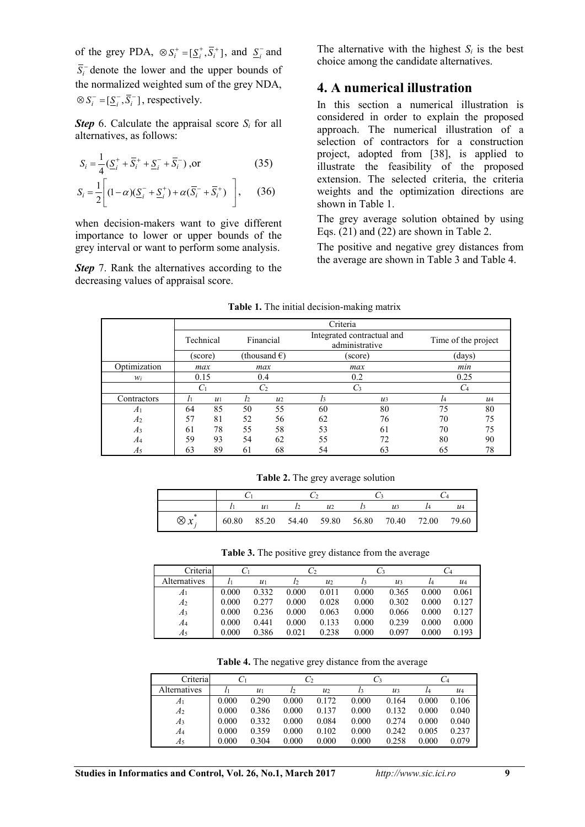of the grey PDA,  $\otimes S_i^+ = [\underline{S}_i^+, \overline{S}_i^+]$ , and  $\underline{S}_i^-$  and  $\overline{S}_i$ <sup>-</sup> denote the lower and the upper bounds of the normalized weighted sum of the grey NDA,  $\otimes S_i^- = [\underline{S}_i^-, \overline{S}_i^-]$ , respectively.

*Step* 6. Calculate the appraisal score  $S_i$  for all alternatives, as follows:

$$
S_i = \frac{1}{4} \left( \underline{S}_i^+ + \overline{S}_i^+ + \underline{S}_i^- + \overline{S}_i^- \right), \text{or}
$$
 (35)

$$
S_i = \frac{1}{2} \left[ (1 - \alpha)(\underline{S}_i^- + \underline{S}_i^+) + \alpha(\overline{S}_i^- + \overline{S}_i^+) \right], \qquad (36)
$$

when decision-makers want to give different importance to lower or upper bounds of the grey interval or want to perform some analysis.

**Step** 7. Rank the alternatives according to the decreasing values of appraisal score.

The alternative with the highest  $S_i$  is the best choice among the candidate alternatives.

## **4. A numerical illustration**

In this section a numerical illustration is considered in order to explain the proposed approach. The numerical illustration of a selection of contractors for a construction project, adopted from [38], is applied to illustrate the feasibility of the proposed extension. The selected criteria, the criteria weights and the optimization directions are shown in Table 1.

The grey average solution obtained by using Eqs. (21) and (22) are shown in Table 2.

The positive and negative grey distances from the average are shown in Table 3 and Table 4.

|                | Criteria  |       |                |                        |                                              |                 |                     |                 |  |
|----------------|-----------|-------|----------------|------------------------|----------------------------------------------|-----------------|---------------------|-----------------|--|
|                | Technical |       | Financial      |                        | Integrated contractual and<br>administrative |                 | Time of the project |                 |  |
|                | (score)   |       |                | (thousand $\epsilon$ ) | (score)                                      |                 | (days)              |                 |  |
| Optimization   | max       |       |                | max                    |                                              | max             |                     | min             |  |
| $W_i$          | 0.15      |       |                | 0.4                    | 0.2                                          |                 | 0.25                |                 |  |
|                | Cı        |       |                | C <sub>2</sub>         | $C_3$                                        |                 | $C_4$               |                 |  |
| Contractors    |           | $u_1$ | l <sub>2</sub> | u <sub>2</sub>         | $l_3$                                        | $\mathcal{U}$ 3 | l4                  | $\mathcal{U}$ 4 |  |
| A <sub>1</sub> | 64        | 85    | 50             | 55                     | 60                                           | 80              | 75                  | 80              |  |
| A <sub>2</sub> | 57        | 81    | 52             | 56                     | 62                                           | 76              | 70                  | 75              |  |
| $A_3$          | 61        | 78    | 55             | 58                     | 53                                           | 61              | 70                  | 75              |  |
| A4             | 59        | 93    | 54             | 62                     | 55                                           | 72              | 80                  | 90              |  |
| A5             | 63        | 89    | 61             | 68                     | 54                                           | 63              | 65                  | 78              |  |

**Table 1.** The initial decision-making matrix

**Table 2.** The grey average solution

|                   |                                                                                       |  |  | $u_2$ |  | $\mathcal{U}$ 3 |  |  |
|-------------------|---------------------------------------------------------------------------------------|--|--|-------|--|-----------------|--|--|
| $\otimes x^*_{i}$ | $\begin{array}{cccccccc} \end{array}$ 60.80 85.20 54.40 59.80 56.80 70.40 72.00 79.60 |  |  |       |  |                 |  |  |

**Table 3.** The positive grey distance from the average

| Criterial      |       |                 |                | - 2   |       |                 |       |                 |
|----------------|-------|-----------------|----------------|-------|-------|-----------------|-------|-----------------|
| Alternatives   |       | $\mathcal{U}$ 1 | l <sub>2</sub> | $u_2$ | l3    | $\mathcal{U}$ 3 | l4    | $\mathcal{U}$ 4 |
| A1             | 0.000 | 0.332           | 0.000          | 0.011 | 0.000 | 0.365           | 0.000 | 0.061           |
| A <sub>2</sub> | 0.000 | 0.277           | 0.000          | 0.028 | 0.000 | 0.302           | 0.000 | 0.127           |
| A <sub>3</sub> | 0.000 | 0.236           | 0.000          | 0.063 | 0.000 | 0.066           | 0.000 | 0.127           |
| A4             | 0.000 | 0.441           | 0.000          | 0.133 | 0.000 | 0.239           | 0.000 | 0.000           |
| A5             | 0.000 | 0.386           | 0.021          | 0.238 | 0.000 | 0.097           | 0.000 | 0.193           |

**Table 4.** The negative grey distance from the average

| Criteria       |       |       |       |       |       |                 |       |       |
|----------------|-------|-------|-------|-------|-------|-----------------|-------|-------|
| Alternatives   |       | $u_1$ | l2    | $u_2$ | l3    | $\mathcal{U}$ 3 | l4    | $u_4$ |
| A <sub>1</sub> | 0.000 | 0.290 | 0.000 | 0.172 | 0.000 | 0.164           | 0.000 | 0.106 |
| A2             | 0.000 | 0.386 | 0.000 | 0.137 | 0.000 | 0.132           | 0.000 | 0.040 |
| Aз             | 0.000 | 0.332 | 0.000 | 0.084 | 0.000 | 0.274           | 0.000 | 0.040 |
| A4             | 0.000 | 0.359 | 0.000 | 0.102 | 0.000 | 0.242           | 0.005 | 0.237 |
| A5             | 0.000 | 0.304 | 0.000 | 0.000 | 0.000 | 0.258           | 0.000 | 0.079 |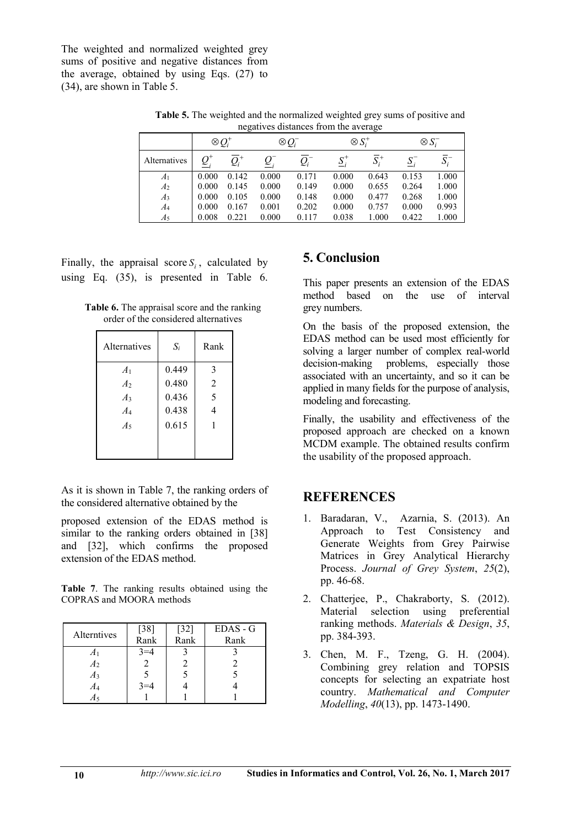The weighted and normalized weighted grey sums of positive and negative distances from the average, obtained by using Eqs.  $(27)$  to (34), are shown in Table 5.

**Table 5.** The weighted and the normalized weighted grey sums of positive and negatives distances from the average

|                | $\otimes Q_i^+$ |       | $\otimes Q_i$ |       | $\otimes S_i^+$ |         | $\otimes S_i^-$   |                         |
|----------------|-----------------|-------|---------------|-------|-----------------|---------|-------------------|-------------------------|
| Alternatives   |                 |       |               |       | $S_i^+$         | $S_i^+$ | $\underline{S}_i$ | $\boldsymbol{\omega}_i$ |
| A <sub>1</sub> | 0.000           | 0.142 | 0.000         | 0.171 | 0.000           | 0.643   | 0.153             | 1.000                   |
| A <sub>2</sub> | 0.000           | 0.145 | 0.000         | 0.149 | 0.000           | 0.655   | 0.264             | 1.000                   |
| A <sub>3</sub> | 0.000           | 0.105 | 0.000         | 0.148 | 0.000           | 0.477   | 0.268             | 1.000                   |
| $A_4$          | 0.000           | 0.167 | 0.001         | 0.202 | 0.000           | 0.757   | 0.000             | 0.993                   |
| A5             | 0.008           | 0.221 | 0.000         | 0.117 | 0.038           | 1.000   | 0.422             | 1.000                   |

Finally, the appraisal score  $S_i$ , calculated by using Eq. (35), is presented in Table 6.

**Table 6.** The appraisal score and the ranking order of the considered alternatives

| Alternatives   | $S_i$ | Rank           |
|----------------|-------|----------------|
| A <sub>1</sub> | 0.449 | 3              |
| A <sub>2</sub> | 0.480 | $\overline{2}$ |
| A <sub>3</sub> | 0.436 | 5              |
| $A_4$          | 0.438 |                |
| $A_5$          | 0.615 |                |
|                |       |                |
|                |       |                |

As it is shown in Table 7, the ranking orders of the considered alternative obtained by the

proposed extension of the EDAS method is similar to the ranking orders obtained in [38] and [32], which confirms the proposed extension of the EDAS method.

**Table 7**. The ranking results obtained using the COPRAS and MOORA methods

| Alterntives    | $[38]$  | $[32]$ | EDAS - G |
|----------------|---------|--------|----------|
|                | Rank    | Rank   | Rank     |
|                | $3 = 4$ |        |          |
| $A_2$          |         |        |          |
| A <sub>3</sub> |         |        |          |
| A4             |         |        |          |
| A٢             |         |        |          |

## **5. Conclusion**

This paper presents an extension of the EDAS method based on the use of interval grey numbers.

On the basis of the proposed extension, the EDAS method can be used most efficiently for solving a larger number of complex real-world decision-making problems, especially those associated with an uncertainty, and so it can be applied in many fields for the purpose of analysis, modeling and forecasting.

Finally, the usability and effectiveness of the proposed approach are checked on a known MCDM example. The obtained results confirm the usability of the proposed approach.

#### **REFERENCES**

- 1. Baradaran, V., Azarnia, S. (2013). An Approach to Test Consistency and Generate Weights from Grey Pairwise Matrices in Grey Analytical Hierarchy Process. *Journal of Grey System*, *25*(2), pp. 46-68.
- 2. Chatterjee, P., Chakraborty, S. (2012). Material selection using preferential ranking methods. *Materials & Design*, *35*, pp. 384-393.
- 3. Chen, M. F., Tzeng, G. H. (2004). Combining grey relation and TOPSIS concepts for selecting an expatriate host country. *Mathematical and Computer Modelling*, *40*(13), pp. 1473-1490.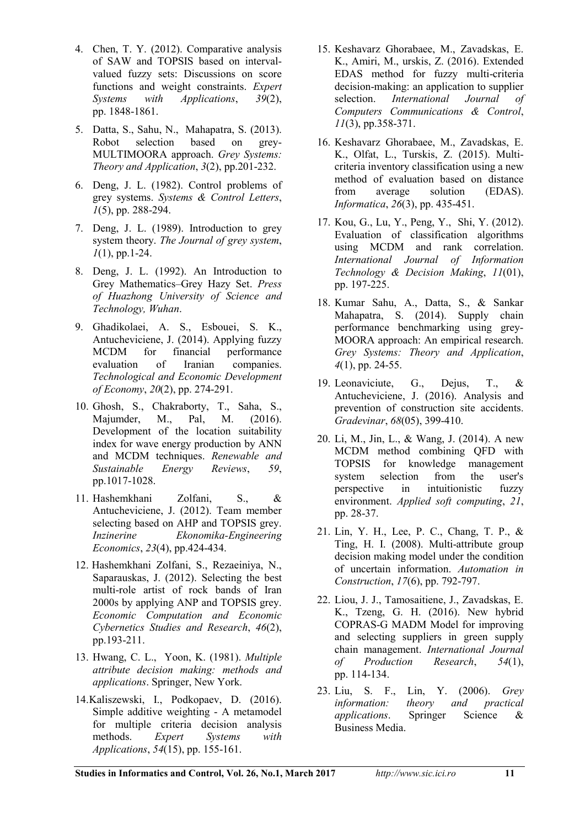- 4. Chen, T. Y. (2012). Comparative analysis of SAW and TOPSIS based on intervalvalued fuzzy sets: Discussions on score functions and weight constraints. *Expert* Systems with Applications, 39(2), *Systems with Applications,* pp. 1848-1861.
- 5. Datta, S., Sahu, N., Mahapatra, S. (2013). Robot selection based on grey-MULTIMOORA approach. *Grey Systems: Theory and Application*, *3*(2), pp.201-232.
- 6. Deng, J. L. (1982). Control problems of grey systems. *Systems & Control Letters*, *1*(5), pp. 288-294.
- 7. Deng, J. L. (1989). Introduction to grey system theory. *The Journal of grey system*, *1*(1), pp.1-24.
- 8. Deng, J. L. (1992). An Introduction to Grey Mathematics–Grey Hazy Set. *Press of Huazhong University of Science and Technology, Wuhan*.
- 9. Ghadikolaei, A. S., Esbouei, S. K., Antucheviciene, J. (2014). Applying fuzzy MCDM for financial performance evaluation of Iranian companies. *Technological and Economic Development of Economy*, *20*(2), pp. 274-291.
- 10. Ghosh, S., Chakraborty, T., Saha, S., Majumder, M., Pal, M. (2016). Development of the location suitability index for wave energy production by ANN and MCDM techniques. *Renewable and Sustainable Energy Reviews*, *59*, pp.1017-1028.
- 11. Hashemkhani Zolfani, S., & Antucheviciene, J. (2012). Team member selecting based on AHP and TOPSIS grey. *Inzinerine Ekonomika-Engineering Economics*, *23*(4), pp.424-434.
- 12. Hashemkhani Zolfani, S., Rezaeiniya, N., Saparauskas, J. (2012). Selecting the best multi-role artist of rock bands of Iran 2000s by applying ANP and TOPSIS grey. *Economic Computation and Economic Cybernetics Studies and Research*, *46*(2), pp.193-211.
- 13. Hwang, C. L., Yoon, K. (1981). *Multiple attribute decision making: methods and applications*. Springer, New York.
- 14.Kaliszewski, I., Podkopaev, D. (2016). Simple additive weighting - A metamodel for multiple criteria decision analysis methods. *Expert Systems with Applications*, *54*(15), pp. 155-161.
- 15. Keshavarz Ghorabaee, M., Zavadskas, E. K., Amiri, M., urskis, Z. (2016). Extended EDAS method for fuzzy multi-criteria decision-making: an application to supplier selection. *International Journal of Computers Communications & Control*, *11*(3), pp.358-371.
- 16. Keshavarz Ghorabaee, M., Zavadskas, E. K., Olfat, L., Turskis, Z. (2015). Multicriteria inventory classification using a new method of evaluation based on distance from average solution (EDAS). *Informatica*, *26*(3), pp. 435-451.
- 17. Kou, G., Lu, Y., Peng, Y., Shi, Y. (2012). Evaluation of classification algorithms using MCDM and rank correlation. *International Journal of Information Technology & Decision Making*, *11*(01), pp. 197-225.
- 18. Kumar Sahu, A., Datta, S., & Sankar Mahapatra, S. (2014). Supply chain performance benchmarking using grey-MOORA approach: An empirical research. *Grey Systems: Theory and Application*, *4*(1), pp. 24-55.
- 19. Leonaviciute, G., Dejus, T., & Antucheviciene, J. (2016). Analysis and prevention of construction site accidents. *Gradevinar*, *68*(05), 399-410.
- 20. Li, M., Jin, L., & Wang, J. (2014). A new MCDM method combining QFD with<br>TOPSIS for knowledge management for knowledge management system selection from the user's perspective in intuitionistic fuzzy environment. *Applied soft computing*, *21*, pp. 28-37.
- 21. Lin, Y. H., Lee, P. C., Chang, T. P., & Ting, H. I. (2008). Multi-attribute group decision making model under the condition of uncertain information. *Automation in Construction*, *17*(6), pp. 792-797.
- 22. Liou, J. J., Tamosaitiene, J., Zavadskas, E. K., Tzeng, G. H. (2016). New hybrid COPRAS-G MADM Model for improving and selecting suppliers in green supply chain management. *International Journal of Production Research*, *54*(1), pp. 114-134.
- 23. Liu, S. F., Lin, Y. (2006). *Grey information: theory and practical applications*. Springer Science & Business Media.